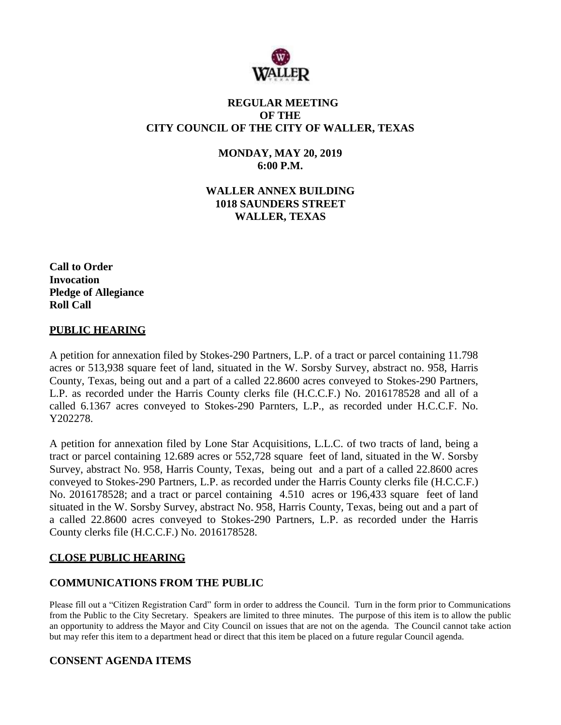

# **REGULAR MEETING OF THE CITY COUNCIL OF THE CITY OF WALLER, TEXAS**

**MONDAY, MAY 20, 2019 6:00 P.M.**

**WALLER ANNEX BUILDING 1018 SAUNDERS STREET WALLER, TEXAS**

**Call to Order Invocation Pledge of Allegiance Roll Call**

#### **PUBLIC HEARING**

A petition for annexation filed by Stokes-290 Partners, L.P. of a tract or parcel containing 11.798 acres or 513,938 square feet of land, situated in the W. Sorsby Survey, abstract no. 958, Harris County, Texas, being out and a part of a called 22.8600 acres conveyed to Stokes-290 Partners, L.P. as recorded under the Harris County clerks file (H.C.C.F.) No. 2016178528 and all of a called 6.1367 acres conveyed to Stokes-290 Parnters, L.P., as recorded under H.C.C.F. No. Y202278.

A petition for annexation filed by Lone Star Acquisitions, L.L.C. of two tracts of land, being a tract or parcel containing 12.689 acres or 552,728 square feet of land, situated in the W. Sorsby Survey, abstract No. 958, Harris County, Texas, being out and a part of a called 22.8600 acres conveyed to Stokes-290 Partners, L.P. as recorded under the Harris County clerks file (H.C.C.F.) No. 2016178528; and a tract or parcel containing 4.510 acres or 196,433 square feet of land situated in the W. Sorsby Survey, abstract No. 958, Harris County, Texas, being out and a part of a called 22.8600 acres conveyed to Stokes-290 Partners, L.P. as recorded under the Harris County clerks file (H.C.C.F.) No. 2016178528.

### **CLOSE PUBLIC HEARING**

### **COMMUNICATIONS FROM THE PUBLIC**

Please fill out a "Citizen Registration Card" form in order to address the Council. Turn in the form prior to Communications from the Public to the City Secretary. Speakers are limited to three minutes. The purpose of this item is to allow the public an opportunity to address the Mayor and City Council on issues that are not on the agenda. The Council cannot take action but may refer this item to a department head or direct that this item be placed on a future regular Council agenda.

### **CONSENT AGENDA ITEMS**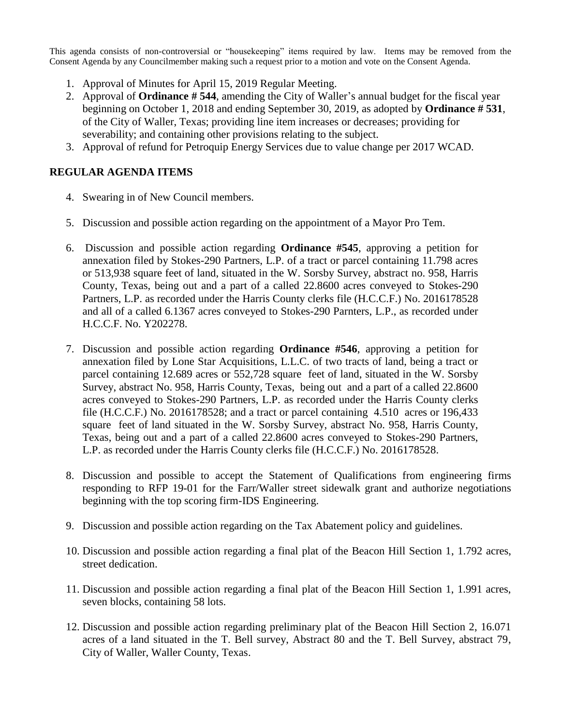This agenda consists of non-controversial or "housekeeping" items required by law. Items may be removed from the Consent Agenda by any Councilmember making such a request prior to a motion and vote on the Consent Agenda.

- 1. Approval of Minutes for April 15, 2019 Regular Meeting.
- 2. Approval of **Ordinance # 544**, amending the City of Waller's annual budget for the fiscal year beginning on October 1, 2018 and ending September 30, 2019, as adopted by **Ordinance # 531**, of the City of Waller, Texas; providing line item increases or decreases; providing for severability; and containing other provisions relating to the subject.
- 3. Approval of refund for Petroquip Energy Services due to value change per 2017 WCAD.

## **REGULAR AGENDA ITEMS**

- 4. Swearing in of New Council members.
- 5. Discussion and possible action regarding on the appointment of a Mayor Pro Tem.
- 6. Discussion and possible action regarding **Ordinance #545**, approving a petition for annexation filed by Stokes-290 Partners, L.P. of a tract or parcel containing 11.798 acres or 513,938 square feet of land, situated in the W. Sorsby Survey, abstract no. 958, Harris County, Texas, being out and a part of a called 22.8600 acres conveyed to Stokes-290 Partners, L.P. as recorded under the Harris County clerks file (H.C.C.F.) No. 2016178528 and all of a called 6.1367 acres conveyed to Stokes-290 Parnters, L.P., as recorded under H.C.C.F. No. Y202278.
- 7. Discussion and possible action regarding **Ordinance #546**, approving a petition for annexation filed by Lone Star Acquisitions, L.L.C. of two tracts of land, being a tract or parcel containing 12.689 acres or 552,728 square feet of land, situated in the W. Sorsby Survey, abstract No. 958, Harris County, Texas, being out and a part of a called 22.8600 acres conveyed to Stokes-290 Partners, L.P. as recorded under the Harris County clerks file (H.C.C.F.) No. 2016178528; and a tract or parcel containing 4.510 acres or 196,433 square feet of land situated in the W. Sorsby Survey, abstract No. 958, Harris County, Texas, being out and a part of a called 22.8600 acres conveyed to Stokes-290 Partners, L.P. as recorded under the Harris County clerks file (H.C.C.F.) No. 2016178528.
- 8. Discussion and possible to accept the Statement of Qualifications from engineering firms responding to RFP 19-01 for the Farr/Waller street sidewalk grant and authorize negotiations beginning with the top scoring firm-IDS Engineering.
- 9. Discussion and possible action regarding on the Tax Abatement policy and guidelines.
- 10. Discussion and possible action regarding a final plat of the Beacon Hill Section 1, 1.792 acres, street dedication.
- 11. Discussion and possible action regarding a final plat of the Beacon Hill Section 1, 1.991 acres, seven blocks, containing 58 lots.
- 12. Discussion and possible action regarding preliminary plat of the Beacon Hill Section 2, 16.071 acres of a land situated in the T. Bell survey, Abstract 80 and the T. Bell Survey, abstract 79, City of Waller, Waller County, Texas.